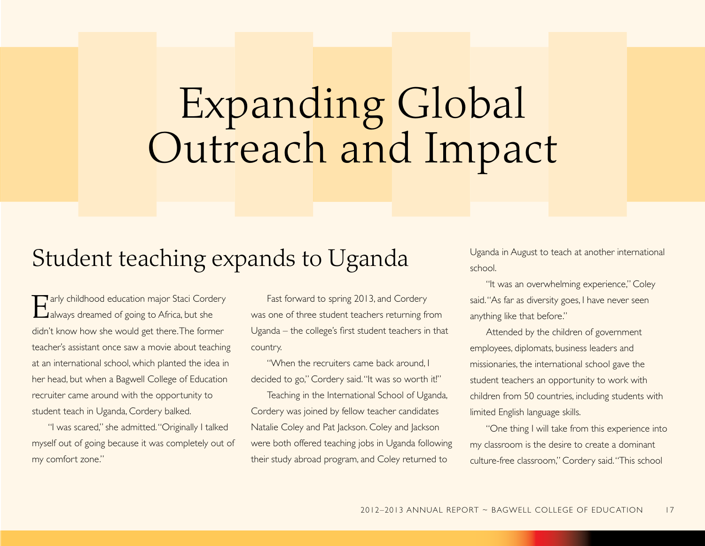## Expanding Global Outreach and Impact

## Student teaching expands to Uganda

Tarly childhood education major Staci Cordery **Lalways dreamed of going to Africa, but she** didn't know how she would get there. The former teacher's assistant once saw a movie about teaching at an international school, which planted the idea in her head, but when a Bagwell College of Education recruiter came around with the opportunity to student teach in Uganda, Cordery balked.

"I was scared," she admitted. "Originally I talked myself out of going because it was completely out of my comfort zone."

Fast forward to spring 2013, and Cordery was one of three student teachers returning from Uganda – the college's first student teachers in that country.

"When the recruiters came back around. decided to go," Cordery said. "It was so worth it!"

Teaching in the international School of Uganda, cordery was joined by fellow teacher candidates Natalie Coley and Pat Jackson. Coley and Jackson were both offered teaching jobs in Uganda following their study abroad program, and Coley returned to

Uganda in August to teach at another international school.

"It was an overwhelming experience," Coley said. "As far as diversity goes, I have never seen anything like that before."

Attended by the children of government employees, diplomats, business leaders and missionaries, the international school gave the student teachers an opportunity to work with children from 50 countries, including students with limited English language skills.

"One thing I will take from this experience into my classroom is the desire to create a dominant culture-free classroom," cordery said. "This school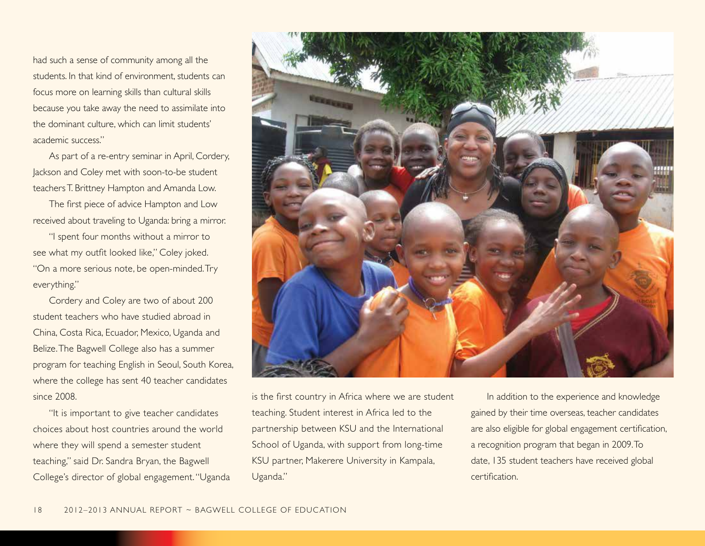had such a sense of community among all the students. in that kind of environment, students can focus more on learning skills than cultural skills because you take away the need to assimilate into the dominant culture, which can limit students' academic success."

As part of a re-entry seminar in April, Cordery, Jackson and coley met with soon-to-be student teachers T. brittney Hampton and Amanda Low.

The first piece of advice Hampton and Low received about traveling to Uganda: bring a mirror.

"I spent four months without a mirror to see what my outfit looked like," Coley joked. "On a more serious note, be open-minded. Try everything."

cordery and coley are two of about 200 student teachers who have studied abroad in china, costa Rica, Ecuador, Mexico, Uganda and Belize. The Bagwell College also has a summer program for teaching English in Seoul, South Korea, where the college has sent 40 teacher candidates since 2008.

"It is important to give teacher candidates choices about host countries around the world where they will spend a semester student teaching," said Dr. Sandra Bryan, the Bagwell college's director of global engagement. "Uganda



is the first country in Africa where we are student teaching. Student interest in Africa led to the partnership between KSU and the international School of Uganda, with support from long-time KSU partner, Makerere University in Kampala, Uganda."

in addition to the experience and knowledge gained by their time overseas, teacher candidates are also eligible for global engagement certification, a recognition program that began in 2009. To date, 135 student teachers have received global certification.